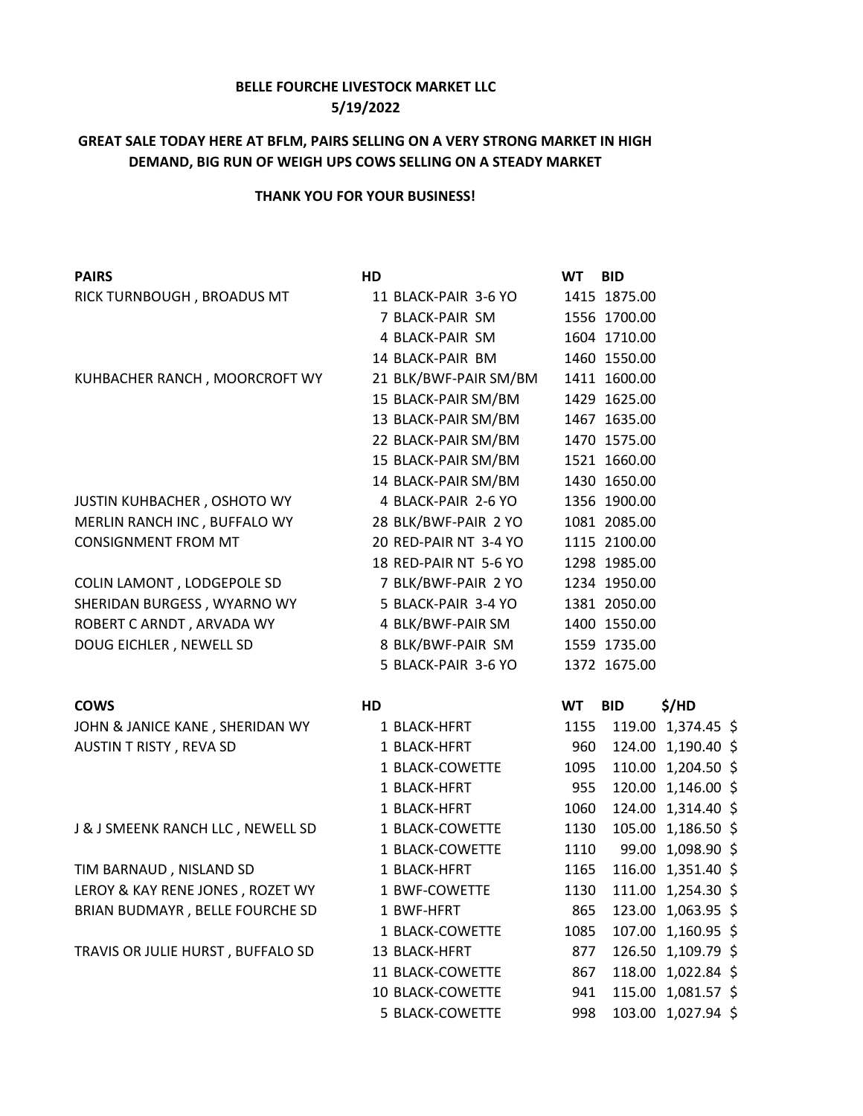## **BELLE FOURCHE LIVESTOCK MARKET LLC 5/19/2022**

## **GREAT SALE TODAY HERE AT BFLM, PAIRS SELLING ON A VERY STRONG MARKET IN HIGH DEMAND, BIG RUN OF WEIGH UPS COWS SELLING ON A STEADY MARKET**

## **THANK YOU FOR YOUR BUSINESS!**

| <b>PAIRS</b>                      | HD                    | <b>WT</b> | <b>BID</b>   |                    |  |
|-----------------------------------|-----------------------|-----------|--------------|--------------------|--|
| RICK TURNBOUGH, BROADUS MT        | 11 BLACK-PAIR 3-6 YO  |           | 1415 1875.00 |                    |  |
|                                   | 7 BLACK-PAIR SM       |           | 1556 1700.00 |                    |  |
|                                   | 4 BLACK-PAIR SM       |           | 1604 1710.00 |                    |  |
|                                   | 14 BLACK-PAIR BM      |           | 1460 1550.00 |                    |  |
| KUHBACHER RANCH, MOORCROFT WY     | 21 BLK/BWF-PAIR SM/BM |           | 1411 1600.00 |                    |  |
|                                   | 15 BLACK-PAIR SM/BM   |           | 1429 1625.00 |                    |  |
|                                   | 13 BLACK-PAIR SM/BM   |           | 1467 1635.00 |                    |  |
|                                   | 22 BLACK-PAIR SM/BM   |           | 1470 1575.00 |                    |  |
|                                   | 15 BLACK-PAIR SM/BM   |           | 1521 1660.00 |                    |  |
|                                   | 14 BLACK-PAIR SM/BM   |           | 1430 1650.00 |                    |  |
| JUSTIN KUHBACHER, OSHOTO WY       | 4 BLACK-PAIR 2-6 YO   |           | 1356 1900.00 |                    |  |
| MERLIN RANCH INC, BUFFALO WY      | 28 BLK/BWF-PAIR 2 YO  |           | 1081 2085.00 |                    |  |
| <b>CONSIGNMENT FROM MT</b>        | 20 RED-PAIR NT 3-4 YO |           | 1115 2100.00 |                    |  |
|                                   | 18 RED-PAIR NT 5-6 YO |           | 1298 1985.00 |                    |  |
| COLIN LAMONT, LODGEPOLE SD        | 7 BLK/BWF-PAIR 2 YO   |           | 1234 1950.00 |                    |  |
| SHERIDAN BURGESS, WYARNO WY       | 5 BLACK-PAIR 3-4 YO   |           | 1381 2050.00 |                    |  |
| ROBERT C ARNDT, ARVADA WY         | 4 BLK/BWF-PAIR SM     |           | 1400 1550.00 |                    |  |
| DOUG EICHLER, NEWELL SD           | 8 BLK/BWF-PAIR SM     |           | 1559 1735.00 |                    |  |
|                                   | 5 BLACK-PAIR 3-6 YO   |           | 1372 1675.00 |                    |  |
| <b>COWS</b>                       | HD                    | <b>WT</b> | <b>BID</b>   | \$/HD              |  |
| JOHN & JANICE KANE, SHERIDAN WY   | 1 BLACK-HFRT          | 1155      |              | 119.00 1,374.45 \$ |  |
| AUSTIN T RISTY, REVA SD           | 1 BLACK-HFRT          | 960       |              | 124.00 1,190.40 \$ |  |
|                                   | 1 BLACK-COWETTE       | 1095      |              | 110.00 1,204.50 \$ |  |
|                                   | 1 BLACK-HFRT          | 955       |              | 120.00 1,146.00 \$ |  |
|                                   | 1 BLACK-HFRT          | 1060      |              | 124.00 1,314.40 \$ |  |
| J & J SMEENK RANCH LLC, NEWELL SD | 1 BLACK-COWETTE       | 1130      |              | 105.00 1,186.50 \$ |  |
|                                   | 1 BLACK-COWETTE       | 1110      |              | 99.00 1,098.90 \$  |  |
| TIM BARNAUD, NISLAND SD           | 1 BLACK-HFRT          | 1165      |              | 116.00 1,351.40 \$ |  |
| LEROY & KAY RENE JONES, ROZET WY  | 1 BWF-COWETTE         | 1130      |              | 111.00 1,254.30 \$ |  |
| BRIAN BUDMAYR, BELLE FOURCHE SD   | 1 BWF-HFRT            | 865       |              | 123.00 1,063.95 \$ |  |
|                                   | 1 BLACK-COWETTE       | 1085      |              | 107.00 1,160.95 \$ |  |
| TRAVIS OR JULIE HURST, BUFFALO SD | 13 BLACK-HFRT         | 877       |              | 126.50 1,109.79 \$ |  |
|                                   | 11 BLACK-COWETTE      | 867       |              | 118.00 1,022.84 \$ |  |
|                                   | 10 BLACK-COWETTE      | 941       |              | 115.00 1,081.57 \$ |  |
|                                   | 5 BLACK-COWETTE       | 998       |              | 103.00 1,027.94 \$ |  |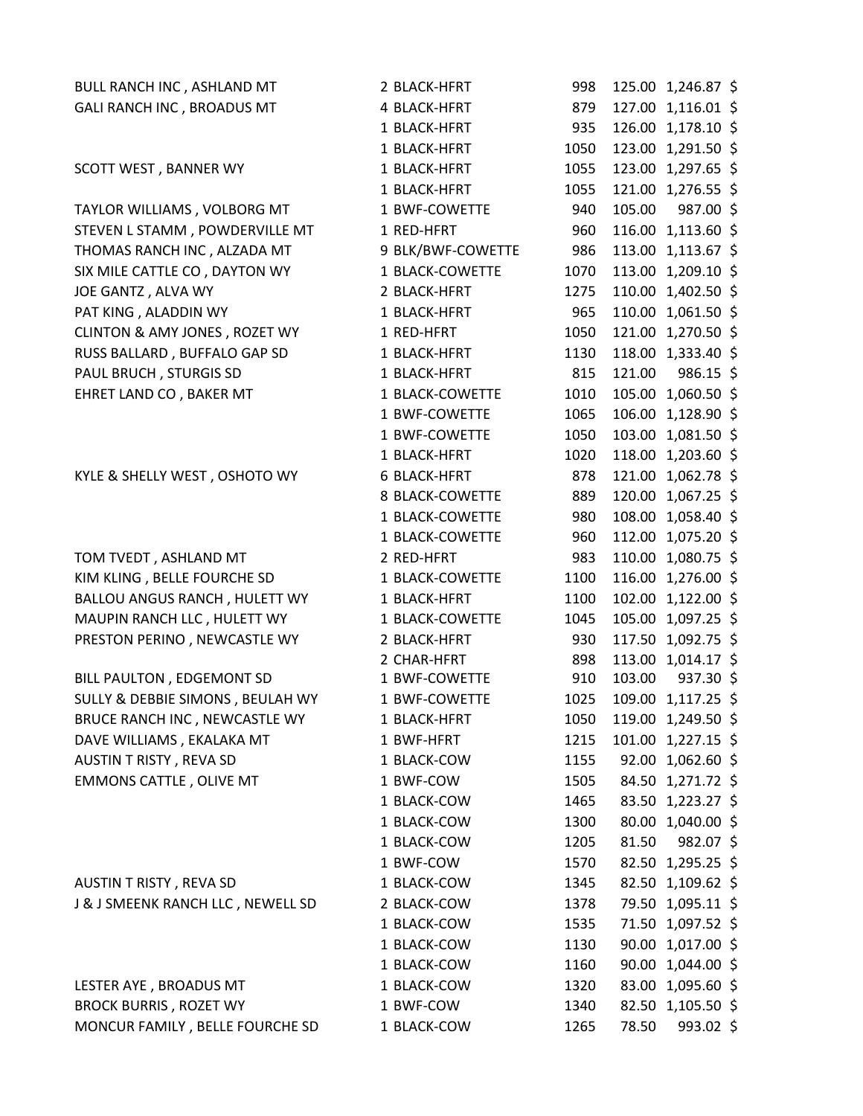| BULL RANCH INC, ASHLAND MT        | 2 BLACK-HFRT        | 998  | 125.00 1,246.87 \$    |  |
|-----------------------------------|---------------------|------|-----------------------|--|
| GALI RANCH INC, BROADUS MT        | 4 BLACK-HFRT        | 879  | 127.00 1,116.01 \$    |  |
|                                   | 1 BLACK-HFRT        | 935  | 126.00 1,178.10 \$    |  |
|                                   | 1 BLACK-HFRT        | 1050 | 123.00 1,291.50 \$    |  |
| SCOTT WEST, BANNER WY             | 1 BLACK-HFRT        | 1055 | 123.00 1,297.65 \$    |  |
|                                   | 1 BLACK-HFRT        | 1055 | 121.00 1,276.55 \$    |  |
| TAYLOR WILLIAMS, VOLBORG MT       | 1 BWF-COWETTE       | 940  | 105.00<br>987.00 \$   |  |
| STEVEN L STAMM, POWDERVILLE MT    | 1 RED-HFRT          | 960  | 116.00 1,113.60 \$    |  |
| THOMAS RANCH INC, ALZADA MT       | 9 BLK/BWF-COWETTE   | 986  | 113.00 1,113.67 \$    |  |
| SIX MILE CATTLE CO, DAYTON WY     | 1 BLACK-COWETTE     | 1070 | 113.00 1,209.10 \$    |  |
| JOE GANTZ, ALVA WY                | 2 BLACK-HFRT        | 1275 | 110.00 1,402.50 \$    |  |
| PAT KING, ALADDIN WY              | 1 BLACK-HFRT        | 965  | 110.00 1,061.50 \$    |  |
| CLINTON & AMY JONES, ROZET WY     | 1 RED-HFRT          | 1050 | 121.00 1,270.50 \$    |  |
| RUSS BALLARD, BUFFALO GAP SD      | 1 BLACK-HFRT        | 1130 | 118.00 1,333.40 \$    |  |
| PAUL BRUCH, STURGIS SD            | 1 BLACK-HFRT        | 815  | 121.00<br>$986.15$ \$ |  |
| EHRET LAND CO, BAKER MT           | 1 BLACK-COWETTE     | 1010 | 105.00 1,060.50 \$    |  |
|                                   | 1 BWF-COWETTE       | 1065 | 106.00 1,128.90 \$    |  |
|                                   | 1 BWF-COWETTE       | 1050 | 103.00 1,081.50 \$    |  |
|                                   | 1 BLACK-HFRT        | 1020 | 118.00 1,203.60 \$    |  |
| KYLE & SHELLY WEST, OSHOTO WY     | <b>6 BLACK-HFRT</b> | 878  | 121.00 1,062.78 \$    |  |
|                                   | 8 BLACK-COWETTE     | 889  | 120.00 1,067.25 \$    |  |
|                                   | 1 BLACK-COWETTE     | 980  | 108.00 1,058.40 \$    |  |
|                                   | 1 BLACK-COWETTE     | 960  | 112.00 1,075.20 \$    |  |
| TOM TVEDT, ASHLAND MT             | 2 RED-HFRT          | 983  | 110.00 1,080.75 \$    |  |
| KIM KLING, BELLE FOURCHE SD       | 1 BLACK-COWETTE     | 1100 | 116.00 1,276.00 \$    |  |
| BALLOU ANGUS RANCH, HULETT WY     | 1 BLACK-HFRT        | 1100 | 102.00 1,122.00 \$    |  |
| MAUPIN RANCH LLC, HULETT WY       | 1 BLACK-COWETTE     | 1045 | 105.00 1,097.25 \$    |  |
| PRESTON PERINO, NEWCASTLE WY      | 2 BLACK-HFRT        | 930  | 117.50 1,092.75 \$    |  |
|                                   | 2 CHAR-HFRT         | 898  | 113.00 1,014.17 \$    |  |
| BILL PAULTON, EDGEMONT SD         | 1 BWF-COWETTE       | 910  | 103.00<br>937.30 \$   |  |
| SULLY & DEBBIE SIMONS, BEULAH WY  | 1 BWF-COWETTE       | 1025 | 109.00 1,117.25 \$    |  |
| BRUCE RANCH INC, NEWCASTLE WY     | 1 BLACK-HFRT        | 1050 | 119.00 1,249.50 \$    |  |
| DAVE WILLIAMS, EKALAKA MT         | 1 BWF-HFRT          | 1215 | 101.00 1,227.15 \$    |  |
| AUSTIN T RISTY, REVA SD           | 1 BLACK-COW         | 1155 | 92.00 1,062.60 \$     |  |
| <b>EMMONS CATTLE, OLIVE MT</b>    | 1 BWF-COW           | 1505 | 84.50 1,271.72 \$     |  |
|                                   | 1 BLACK-COW         | 1465 | 83.50 1,223.27 \$     |  |
|                                   | 1 BLACK-COW         | 1300 | 80.00 1,040.00 \$     |  |
|                                   | 1 BLACK-COW         | 1205 | 81.50<br>982.07 \$    |  |
|                                   | 1 BWF-COW           | 1570 | 82.50 1,295.25 \$     |  |
| AUSTIN T RISTY, REVA SD           | 1 BLACK-COW         | 1345 | 82.50 1,109.62 \$     |  |
| J & J SMEENK RANCH LLC, NEWELL SD | 2 BLACK-COW         | 1378 | 79.50 1,095.11 \$     |  |
|                                   | 1 BLACK-COW         | 1535 | 71.50 1,097.52 \$     |  |
|                                   | 1 BLACK-COW         | 1130 | 90.00 1,017.00 \$     |  |
|                                   | 1 BLACK-COW         | 1160 | 90.00 1,044.00 \$     |  |
| LESTER AYE, BROADUS MT            | 1 BLACK-COW         | 1320 | 83.00 1,095.60 \$     |  |
| <b>BROCK BURRIS, ROZET WY</b>     | 1 BWF-COW           | 1340 | 82.50 1,105.50 \$     |  |
| MONCUR FAMILY, BELLE FOURCHE SD   | 1 BLACK-COW         | 1265 | $993.02$ \$<br>78.50  |  |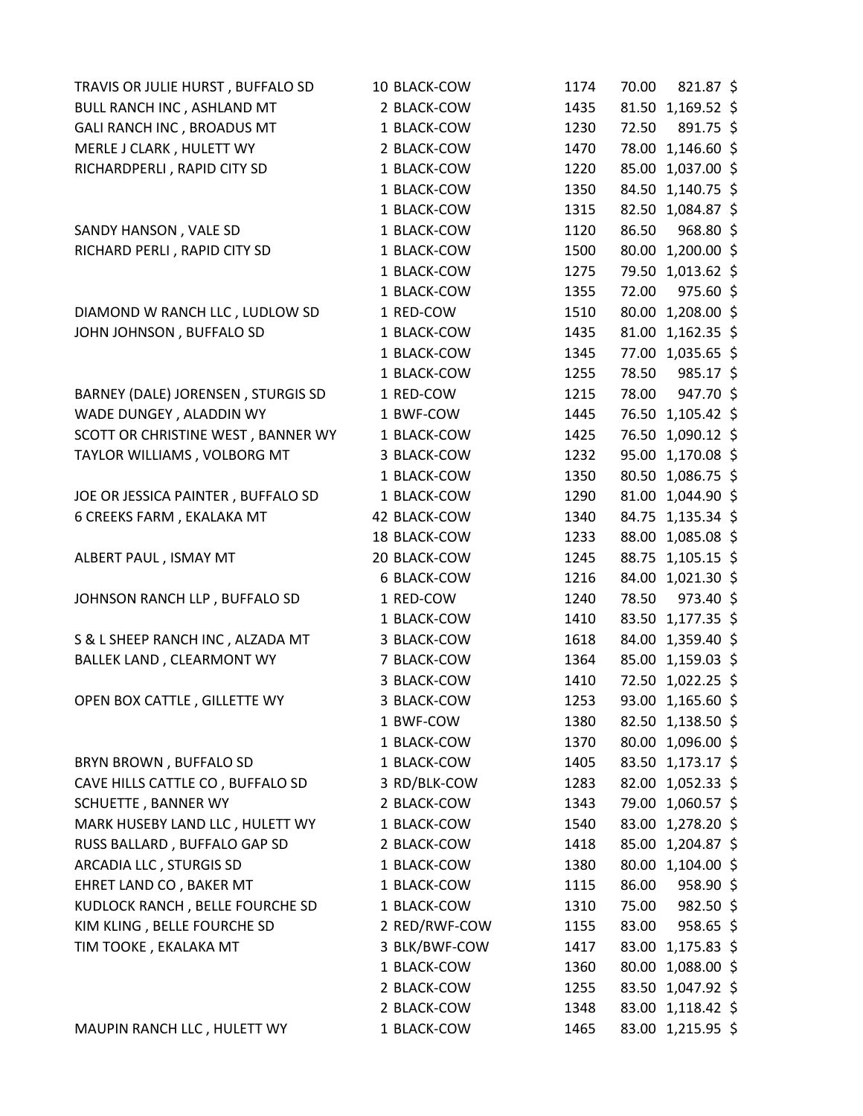| TRAVIS OR JULIE HURST, BUFFALO SD  | 10 BLACK-COW  | 1174 | 70.00 | 821.87 \$         |  |
|------------------------------------|---------------|------|-------|-------------------|--|
| BULL RANCH INC, ASHLAND MT         | 2 BLACK-COW   | 1435 |       | 81.50 1,169.52 \$ |  |
| GALI RANCH INC, BROADUS MT         | 1 BLACK-COW   | 1230 | 72.50 | 891.75 \$         |  |
| MERLE J CLARK, HULETT WY           | 2 BLACK-COW   | 1470 | 78.00 | 1,146.60 \$       |  |
| RICHARDPERLI, RAPID CITY SD        | 1 BLACK-COW   | 1220 |       | 85.00 1,037.00 \$ |  |
|                                    | 1 BLACK-COW   | 1350 |       | 84.50 1,140.75 \$ |  |
|                                    | 1 BLACK-COW   | 1315 |       | 82.50 1,084.87 \$ |  |
| SANDY HANSON, VALE SD              | 1 BLACK-COW   | 1120 | 86.50 | 968.80 \$         |  |
| RICHARD PERLI, RAPID CITY SD       | 1 BLACK-COW   | 1500 | 80.00 | 1,200.00 \$       |  |
|                                    | 1 BLACK-COW   | 1275 |       | 79.50 1,013.62 \$ |  |
|                                    | 1 BLACK-COW   | 1355 | 72.00 | 975.60 \$         |  |
| DIAMOND W RANCH LLC, LUDLOW SD     | 1 RED-COW     | 1510 |       | 80.00 1,208.00 \$ |  |
| JOHN JOHNSON, BUFFALO SD           | 1 BLACK-COW   | 1435 |       | 81.00 1,162.35 \$ |  |
|                                    | 1 BLACK-COW   | 1345 |       | 77.00 1,035.65 \$ |  |
|                                    | 1 BLACK-COW   | 1255 | 78.50 | 985.17 \$         |  |
| BARNEY (DALE) JORENSEN, STURGIS SD | 1 RED-COW     | 1215 | 78.00 | 947.70 \$         |  |
| WADE DUNGEY, ALADDIN WY            | 1 BWF-COW     | 1445 |       | 76.50 1,105.42 \$ |  |
| SCOTT OR CHRISTINE WEST, BANNER WY | 1 BLACK-COW   | 1425 |       | 76.50 1,090.12 \$ |  |
| TAYLOR WILLIAMS, VOLBORG MT        | 3 BLACK-COW   | 1232 |       | 95.00 1,170.08 \$ |  |
|                                    | 1 BLACK-COW   | 1350 |       | 80.50 1,086.75 \$ |  |
| JOE OR JESSICA PAINTER, BUFFALO SD | 1 BLACK-COW   | 1290 |       | 81.00 1,044.90 \$ |  |
| 6 CREEKS FARM, EKALAKA MT          | 42 BLACK-COW  | 1340 |       | 84.75 1,135.34 \$ |  |
|                                    | 18 BLACK-COW  | 1233 | 88.00 | 1,085.08 \$       |  |
| ALBERT PAUL, ISMAY MT              | 20 BLACK-COW  | 1245 |       | 88.75 1,105.15 \$ |  |
|                                    | 6 BLACK-COW   | 1216 |       | 84.00 1,021.30 \$ |  |
| JOHNSON RANCH LLP, BUFFALO SD      | 1 RED-COW     | 1240 | 78.50 | 973.40 \$         |  |
|                                    | 1 BLACK-COW   | 1410 |       | 83.50 1,177.35 \$ |  |
| S & L SHEEP RANCH INC, ALZADA MT   | 3 BLACK-COW   | 1618 | 84.00 | 1,359.40 \$       |  |
| <b>BALLEK LAND, CLEARMONT WY</b>   | 7 BLACK-COW   | 1364 |       | 85.00 1,159.03 \$ |  |
|                                    | 3 BLACK-COW   | 1410 |       | 72.50 1,022.25 \$ |  |
| OPEN BOX CATTLE, GILLETTE WY       | 3 BLACK-COW   | 1253 |       | 93.00 1,165.60 \$ |  |
|                                    | 1 BWF-COW     | 1380 |       | 82.50 1,138.50 \$ |  |
|                                    | 1 BLACK-COW   | 1370 |       | 80.00 1,096.00 \$ |  |
| BRYN BROWN, BUFFALO SD             | 1 BLACK-COW   | 1405 |       | 83.50 1,173.17 \$ |  |
| CAVE HILLS CATTLE CO, BUFFALO SD   | 3 RD/BLK-COW  | 1283 |       | 82.00 1,052.33 \$ |  |
| <b>SCHUETTE, BANNER WY</b>         | 2 BLACK-COW   | 1343 |       | 79.00 1,060.57 \$ |  |
| MARK HUSEBY LAND LLC, HULETT WY    | 1 BLACK-COW   | 1540 |       | 83.00 1,278.20 \$ |  |
| RUSS BALLARD, BUFFALO GAP SD       | 2 BLACK-COW   | 1418 |       | 85.00 1,204.87 \$ |  |
| ARCADIA LLC, STURGIS SD            | 1 BLACK-COW   | 1380 |       | 80.00 1,104.00 \$ |  |
| EHRET LAND CO, BAKER MT            | 1 BLACK-COW   | 1115 | 86.00 | 958.90 \$         |  |
| KUDLOCK RANCH, BELLE FOURCHE SD    | 1 BLACK-COW   | 1310 | 75.00 | $982.50$ \$       |  |
| KIM KLING, BELLE FOURCHE SD        | 2 RED/RWF-COW | 1155 | 83.00 | 958.65 \$         |  |
| TIM TOOKE, EKALAKA MT              | 3 BLK/BWF-COW | 1417 |       | 83.00 1,175.83 \$ |  |
|                                    | 1 BLACK-COW   | 1360 |       | 80.00 1,088.00 \$ |  |
|                                    | 2 BLACK-COW   | 1255 |       | 83.50 1,047.92 \$ |  |
|                                    | 2 BLACK-COW   | 1348 |       | 83.00 1,118.42 \$ |  |
| MAUPIN RANCH LLC, HULETT WY        | 1 BLACK-COW   | 1465 |       | 83.00 1,215.95 \$ |  |